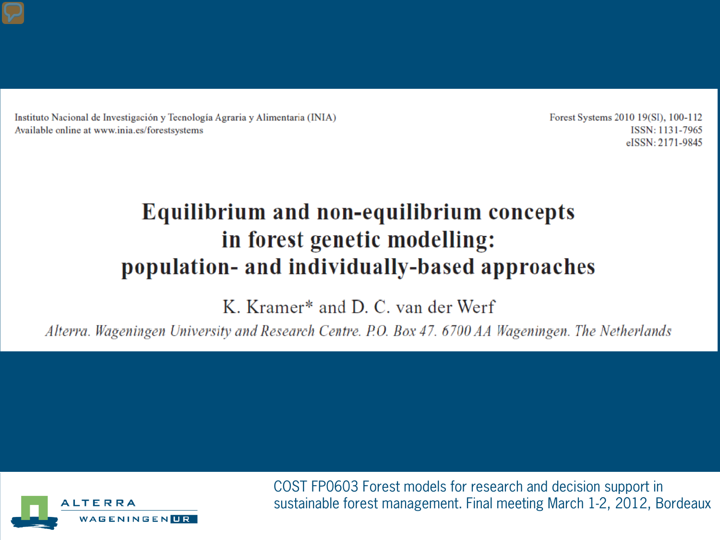Instituto Nacional de Investigación y Tecnología Agraria y Alimentaria (INIA) Available online at www.inia.es/forestsystems

Forest Systems 2010 19(SI), 100-112 ISSN: 1131-7965 eISSN: 2171-9845

#### Equilibrium and non-equilibrium concepts in forest genetic modelling: population- and individually-based approaches

K. Kramer\* and D. C. van der Werf

Alterra. Wageningen University and Research Centre. P.O. Box 47. 6700 AA Wageningen. The Netherlands



COST FP0603 Forest models for research and decision support in sustainable forest management. Final meeting March 1-2, 2012, Bordeaux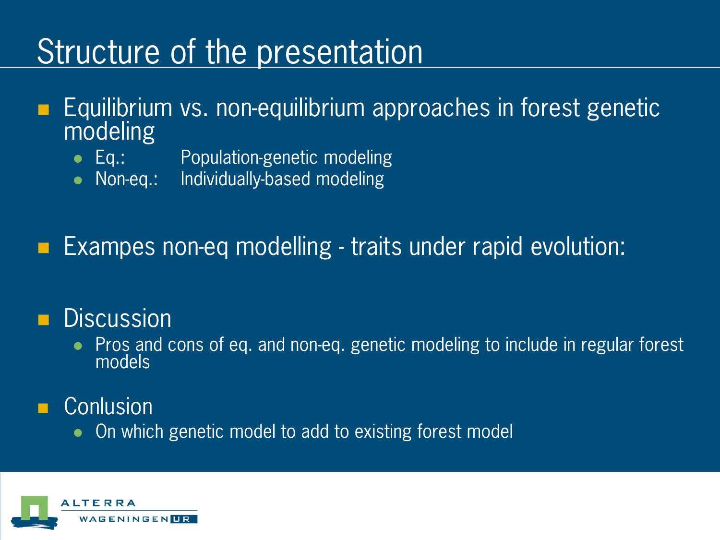## Structure of the presentation

- Equilibrium vs. non-equilibrium approaches in forest genetic modeling
	- Eq.: Population-genetic modeling
	- Non-eq.: Individually-based modeling

Exampes non-eq modelling - traits under rapid evolution:

#### **Discussion**

Pros and cons of eq. and non-eq. genetic modeling to include in regular forest models

#### **Conlusion**

• On which genetic model to add to existing forest model

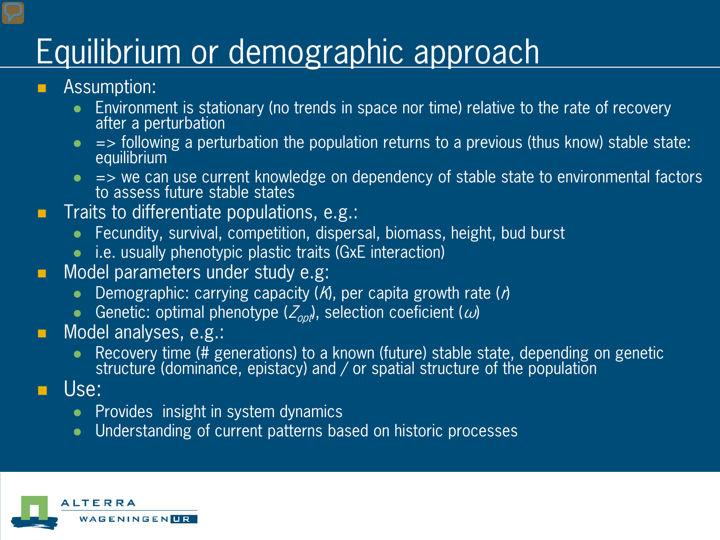## Equilibrium or demographic approach

- Assumption:
	- Environment is stationary (no trends in space nor time) relative to the rate of recovery after a perturbation
	- $\bullet$  => following a perturbation the population returns to a previous (thus know) stable state: equilibrium
	- $\bullet$   $\Rightarrow$  we can use current knowledge on dependency of stable state to environmental factors to assess future stable states
- Traits to differentiate populations, e.g.:
	- Fecundity, survival, competition, dispersal, biomass, height, bud burst
	- i.e. usually phenotypic plastic traits (GxE interaction)
- **Nodel parameters under study e.g.** 
	- Demographic: carrying capacity  $(M)$ , per capita growth rate  $(n)$
	- Genetic: optimal phenotype ( $Z_{\text{opt}}$ ), selection coeficient ( $\omega$ )
- **Model analyses, e.g.:** 
	- Recovery time (# generations) to a known (future) stable state, depending on genetic structure (dominance, epistacy) and / or spatial structure of the population
- Use:
	- $\bullet$  Provides insight in system dynamics
	- Understanding of current patterns based on historic processes

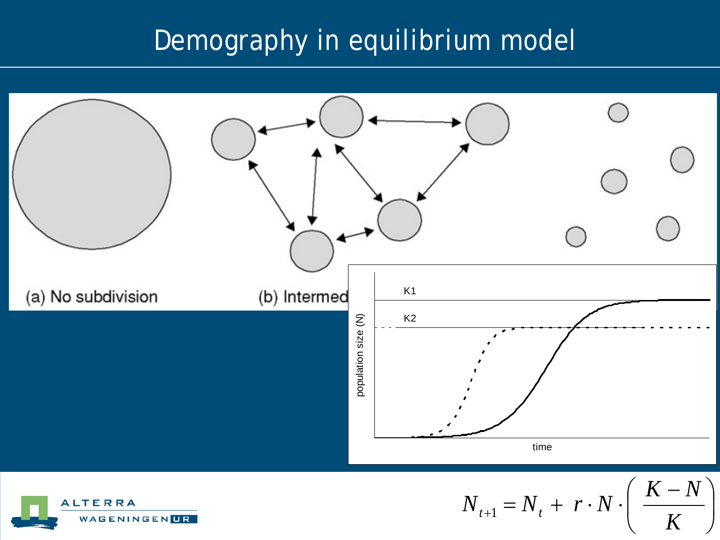### Demography in equilibrium model

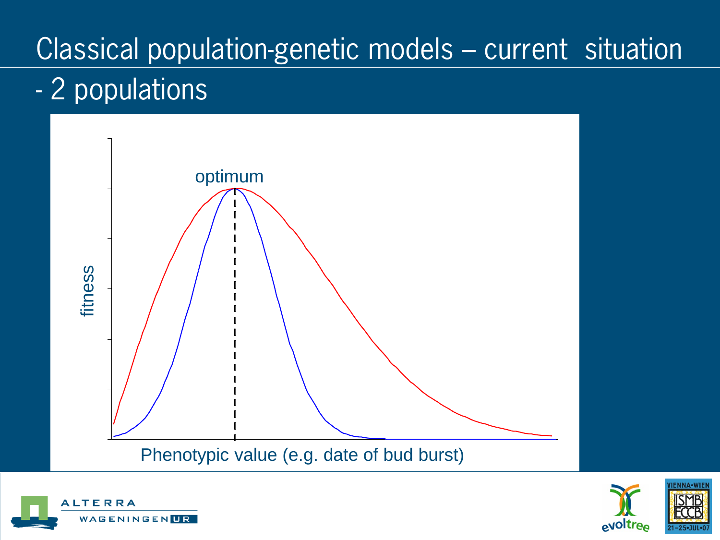## Classical population-genetic models – current situation

## - 2 populations





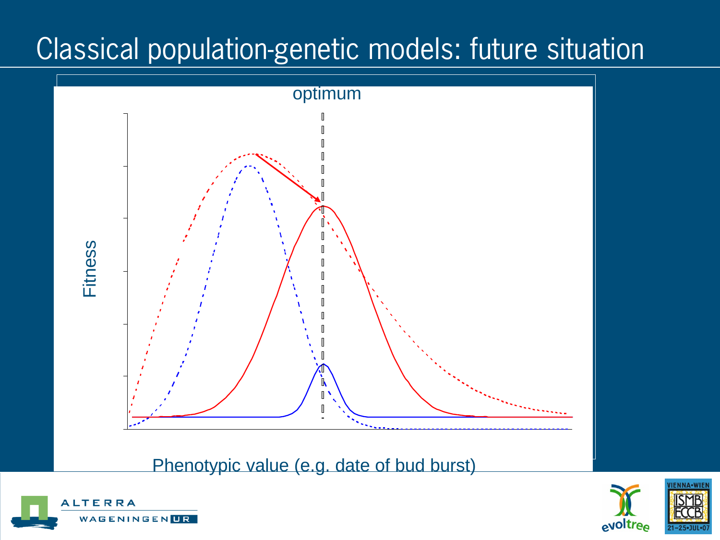## Classical population-genetic models: future situation



 $P$ henotypic value (e.g. date of bud burg Phenotypic value (e.g. date of bud burst)



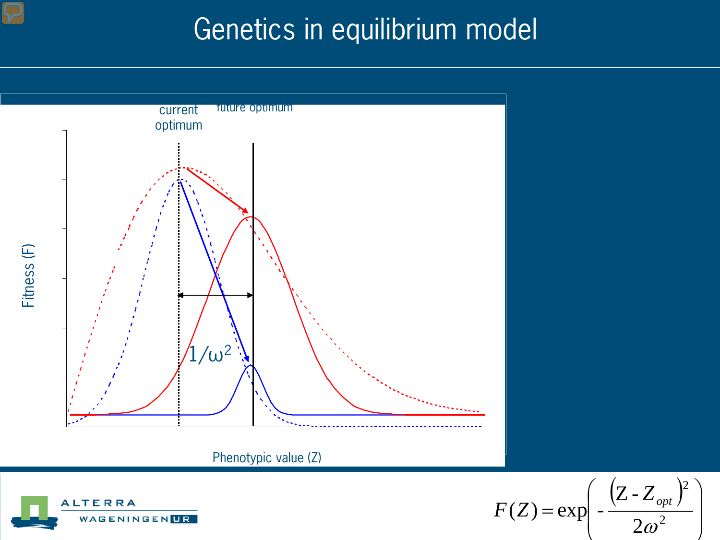### Genetics in equilibrium model





 $(Z - Z_{\text{out}})$  $\overline{\phantom{a}}$   $\left\{ \right\}$  $\left\{ \right.$  $\overline{\phantom{a}}$  $\overline{\phantom{a}}$  $\overline{\phantom{a}}$  $\bigg($  $F(Z) = \exp \left(-\frac{(Z - Z_{opt})^2}{2\epsilon^2}\right)$  $2\omega^2$ 2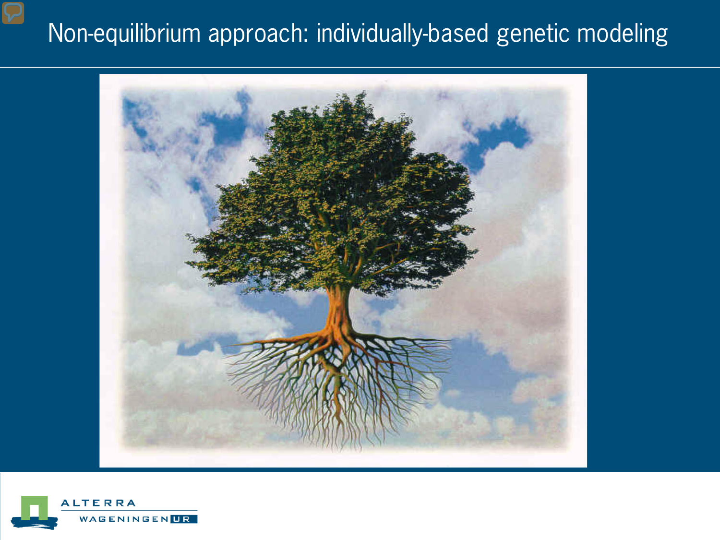### Non-equilibrium approach: individually-based genetic modeling



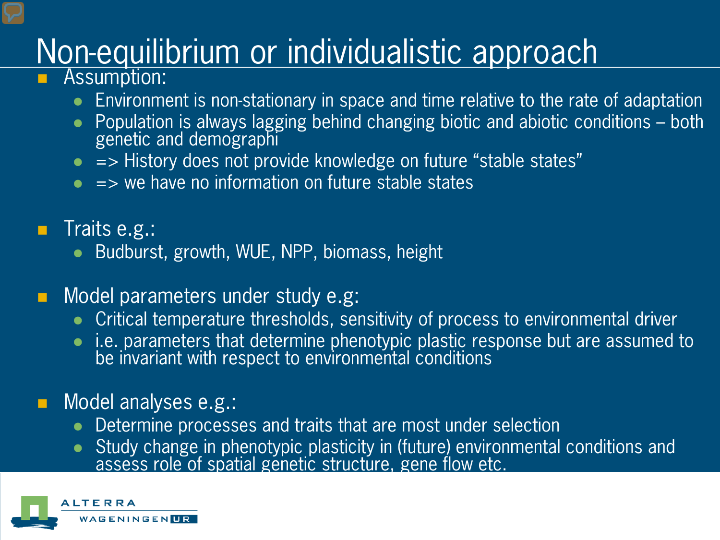# Non-equilibrium or individualistic approach

- Assumption:
	- Environment is non-stationary in space and time relative to the rate of adaptation
	- Population is always lagging behind changing biotic and abiotic conditions both genetic and demographi
	- $\bullet$  => History does not provide knowledge on future "stable states"
	- $\bullet$  => we have no information on future stable states
- $\blacksquare$  Traits e.g.:
	- Budburst, growth, WUE, NPP, biomass, height
- Model parameters under study e.g:
	- Critical temperature thresholds, sensitivity of process to environmental driver
	- i.e. parameters that determine phenotypic plastic response but are assumed to be invariant with respect to environmental conditions

#### Model analyses e.g.:

- Determine processes and traits that are most under selection
- Study change in phenotypic plasticity in (future) environmental conditions and assess role of spatial genetic structure, gene flow etc.

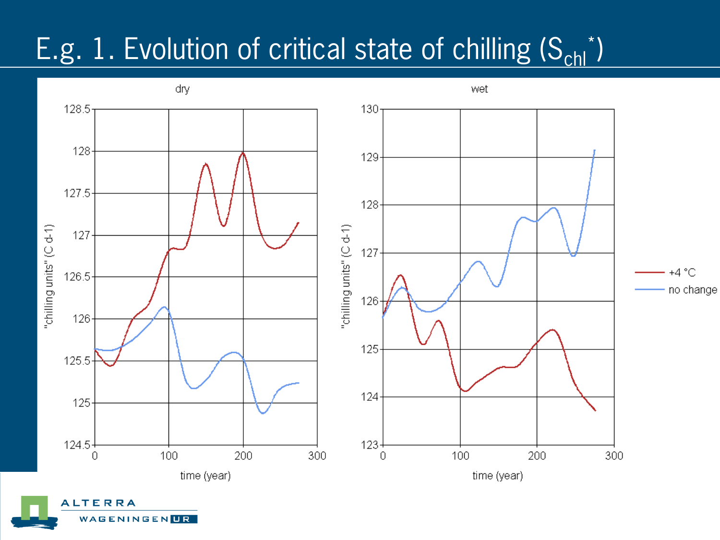## E.g. 1. Evolution of critical state of chilling (S<sub>chl</sub>\*)



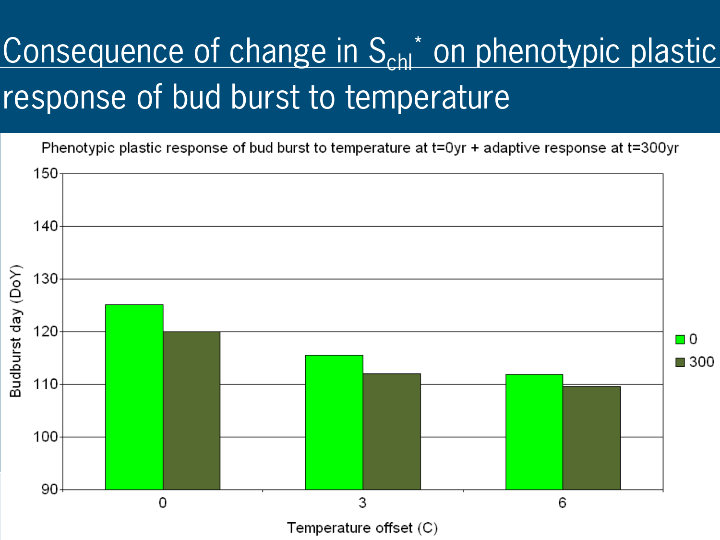# Consequence of change in S<sub>chl</sub>\* on phenotypic plastic response of bud burst to temperature

Phenotypic plastic response of bud burst to temperature at t=0yr + adaptive response at t=300yr

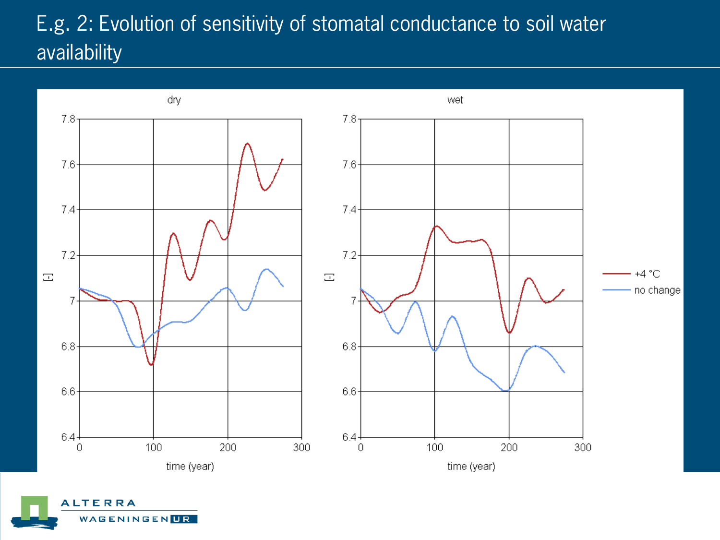#### E.g. 2: Evolution of sensitivity of stomatal conductance to soil water availability



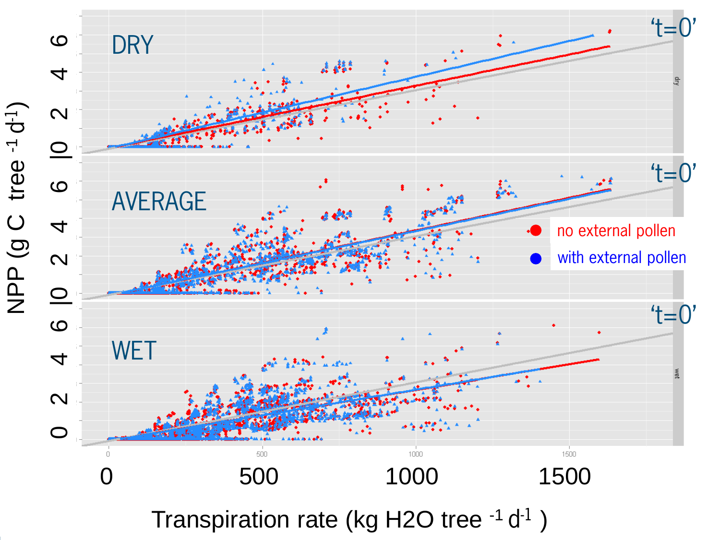

Transpiration rate (kg H2O tree  $-1$  d $-1$ )

NPP (g C tree -1 d-1

)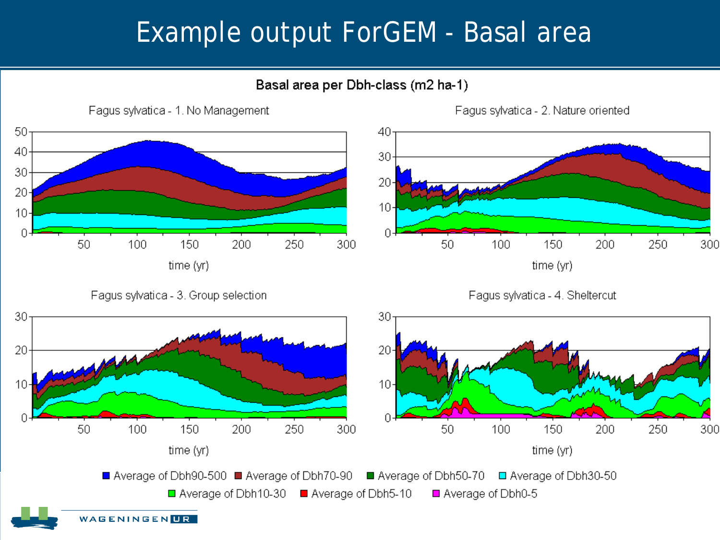### Example output ForGEM - Basal area

#### Basal area per Dbh-class (m2 ha-1)



Fagus sylvatica - 3. Group selection

Fagus sylvatica - 4. Sheltercut

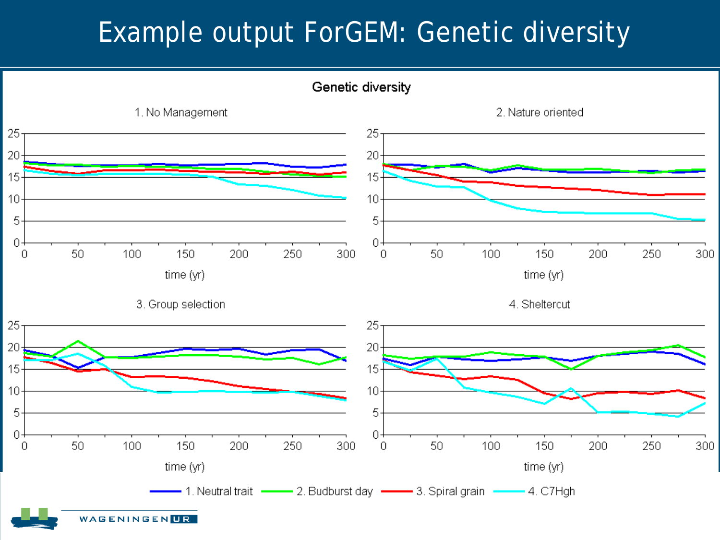### Example output ForGEM: Genetic diversity

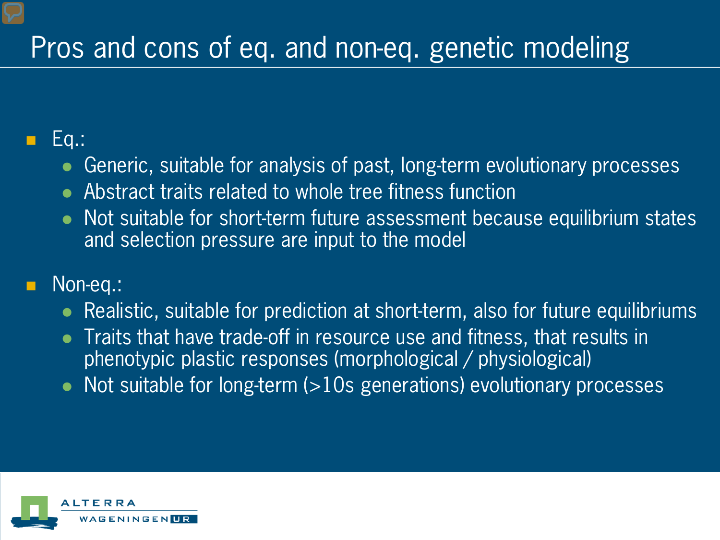## Pros and cons of eq. and non-eq. genetic modeling

#### Eq.:

- Generic, suitable for analysis of past, long-term evolutionary processes
- Abstract traits related to whole tree fitness function
- Not suitable for short-term future assessment because equilibrium states and selection pressure are input to the model

#### Non-eq.:

- Realistic, suitable for prediction at short-term, also for future equilibriums
- Traits that have trade-off in resource use and fitness, that results in phenotypic plastic responses (morphological / physiological)
- Not suitable for long-term (>10s generations) evolutionary processes